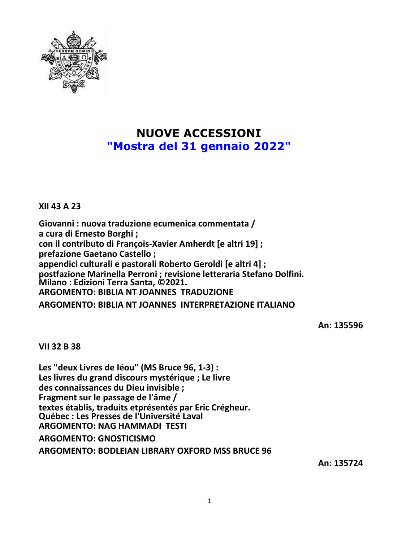

# **NUOVE ACCESSIONI "Mostra del 31 gennaio 2022"**

**XII 43 A 23**

**Giovanni : nuova traduzione ecumenica commentata / a cura di Ernesto Borghi ; con il contributo di François-Xavier Amherdt [e altri 19] ; prefazione Gaetano Castello ; appendici culturali e pastorali Roberto Geroldi [e altri 4] ; postfazione Marinella Perroni ; revisione letteraria Stefano Dolfini. Milano : Edizioni Terra Santa, ©2021. ARGOMENTO: BIBLIA NT JOANNES TRADUZIONE**

**ARGOMENTO: BIBLIA NT JOANNES INTERPRETAZIONE ITALIANO**

**An: 135596**

**VII 32 B 38**

**Les "deux Livres de Iéou" (MS Bruce 96, 1-3) : Les livres du grand discours mystérique ; Le livre des connaissances du Dieu invisible ; Fragment sur le passage de l'âme / textes établis, traduits etprésentés par Eric Crégheur. Québec : Les Presses de l'Université Laval ARGOMENTO: NAG HAMMADI TESTI ARGOMENTO: GNOSTICISMO**

**ARGOMENTO: BODLEIAN LIBRARY OXFORD MSS BRUCE 96**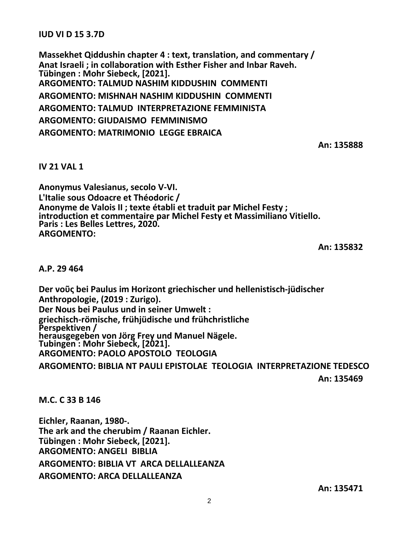**IUD VI D 15 3.7D**

**Massekhet Qiddushin chapter 4 : text, translation, and commentary / Anat Israeli ; in collaboration with Esther Fisher and Inbar Raveh. Tübingen : Mohr Siebeck, [2021]. ARGOMENTO: TALMUD NASHIM KIDDUSHIN COMMENTI ARGOMENTO: MISHNAH NASHIM KIDDUSHIN COMMENTI ARGOMENTO: TALMUD INTERPRETAZIONE FEMMINISTA ARGOMENTO: GIUDAISMO FEMMINISMO ARGOMENTO: MATRIMONIO LEGGE EBRAICA**

**An: 135888**

## **IV 21 VAL 1**

**Anonymus Valesianus, secolo V-VI. L'Italie sous Odoacre et Théodoric / Anonyme de Valois II ; texte établi et traduit par Michel Festy ; introduction et commentaire par Michel Festy et Massimiliano Vitiello. Paris : Les Belles Lettres, 2020. ARGOMENTO:**

**An: 135832**

#### **A.P. 29 464**

**Der νοῦς bei Paulus im Horizont griechischer und hellenistisch-jüdischer Anthropologie, (2019 : Zurigo). Der Nous bei Paulus und in seiner Umwelt : griechisch-römische, frühjüdische und frühchristliche Perspektiven / herausgegeben von Jörg Frey und Manuel Nägele. Tubingen : Mohr Siebeck, [2021]. ARGOMENTO: PAOLO APOSTOLO TEOLOGIA**

**ARGOMENTO: BIBLIA NT PAULI EPISTOLAE TEOLOGIA INTERPRETAZIONE TEDESCO An: 135469**

**M.C. C 33 B 146**

**Eichler, Raanan, 1980-. The ark and the cherubim / Raanan Eichler. Tübingen : Mohr Siebeck, [2021]. ARGOMENTO: ANGELI BIBLIA ARGOMENTO: BIBLIA VT ARCA DELLALLEANZA ARGOMENTO: ARCA DELLALLEANZA**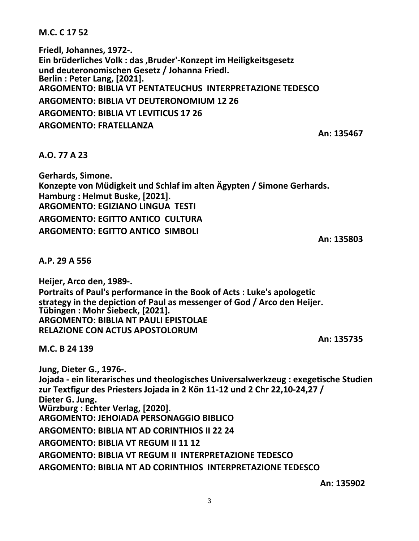**M.C. C 17 52**

**Friedl, Johannes, 1972-. Ein brüderliches Volk : das ,Bruder'-Konzept im Heiligkeitsgesetz und deuteronomischen Gesetz / Johanna Friedl. Berlin : Peter Lang, [2021]. ARGOMENTO: BIBLIA VT PENTATEUCHUS INTERPRETAZIONE TEDESCO ARGOMENTO: BIBLIA VT DEUTERONOMIUM 12 26 ARGOMENTO: BIBLIA VT LEVITICUS 17 26 ARGOMENTO: FRATELLANZA**

**An: 135467**

## **A.O. 77 A 23**

**Gerhards, Simone. Konzepte von Müdigkeit und Schlaf im alten Ägypten / Simone Gerhards. Hamburg : Helmut Buske, [2021]. ARGOMENTO: EGIZIANO LINGUA TESTI ARGOMENTO: EGITTO ANTICO CULTURA ARGOMENTO: EGITTO ANTICO SIMBOLI**

**An: 135803**

**A.P. 29 A 556**

**Heijer, Arco den, 1989-. Portraits of Paul's performance in the Book of Acts : Luke's apologetic strategy in the depiction of Paul as messenger of God / Arco den Heijer. Tübingen : Mohr Siebeck, [2021]. ARGOMENTO: BIBLIA NT PAULI EPISTOLAE RELAZIONE CON ACTUS APOSTOLORUM An: 135735**

**M.C. B 24 139**

**Jung, Dieter G., 1976-. Jojada - ein literarisches und theologisches Universalwerkzeug : exegetische Studien zur Textfigur des Priesters Jojada in 2 Kön 11-12 und 2 Chr 22,10-24,27 / Dieter G. Jung. Würzburg : Echter Verlag, [2020]. ARGOMENTO: JEHOIADA PERSONAGGIO BIBLICO ARGOMENTO: BIBLIA NT AD CORINTHIOS II 22 24 ARGOMENTO: BIBLIA VT REGUM II 11 12 ARGOMENTO: BIBLIA VT REGUM II INTERPRETAZIONE TEDESCO ARGOMENTO: BIBLIA NT AD CORINTHIOS INTERPRETAZIONE TEDESCO**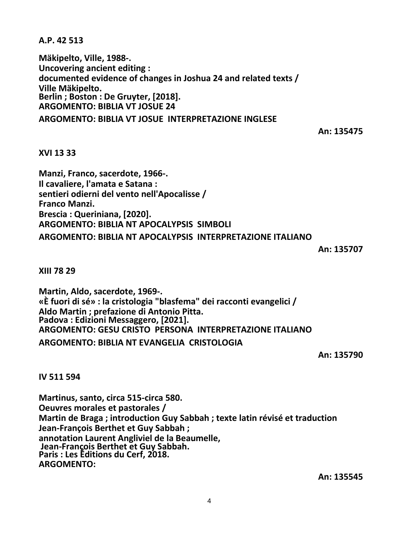**A.P. 42 513**

**Mäkipelto, Ville, 1988-. Uncovering ancient editing : documented evidence of changes in Joshua 24 and related texts / Ville Mäkipelto. Berlin ; Boston : De Gruyter, [2018]. ARGOMENTO: BIBLIA VT JOSUE 24 ARGOMENTO: BIBLIA VT JOSUE INTERPRETAZIONE INGLESE**

**An: 135475**

## **XVI 13 33**

**Manzi, Franco, sacerdote, 1966-. Il cavaliere, l'amata e Satana : sentieri odierni del vento nell'Apocalisse / Franco Manzi. Brescia : Queriniana, [2020]. ARGOMENTO: BIBLIA NT APOCALYPSIS SIMBOLI ARGOMENTO: BIBLIA NT APOCALYPSIS INTERPRETAZIONE ITALIANO**

**An: 135707**

**XIII 78 29**

**Martin, Aldo, sacerdote, 1969-. «È fuori di sé» : la cristologia "blasfema" dei racconti evangelici / Aldo Martin ; prefazione di Antonio Pitta. Padova : Edizioni Messaggero, [2021]. ARGOMENTO: GESU CRISTO PERSONA INTERPRETAZIONE ITALIANO ARGOMENTO: BIBLIA NT EVANGELIA CRISTOLOGIA**

**An: 135790**

## **IV 511 594**

**Martinus, santo, circa 515-circa 580. Oeuvres morales et pastorales / Martin de Braga ; introduction Guy Sabbah ; texte latin révisé et traduction Jean-François Berthet et Guy Sabbah ; annotation Laurent Angliviel de la Beaumelle, Jean-François Berthet et Guy Sabbah. Paris : Les Éditions du Cerf, 2018. ARGOMENTO:**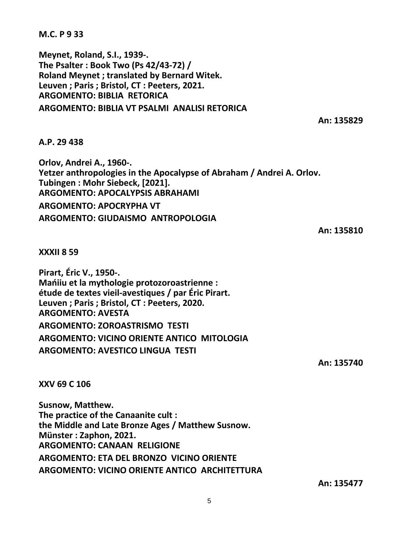**M.C. P 9 33**

**Meynet, Roland, S.I., 1939-. The Psalter : Book Two (Ps 42/43-72) / Roland Meynet ; translated by Bernard Witek. Leuven ; Paris ; Bristol, CT : Peeters, 2021. ARGOMENTO: BIBLIA RETORICA ARGOMENTO: BIBLIA VT PSALMI ANALISI RETORICA**

**An: 135829**

**A.P. 29 438**

**Orlov, Andrei A., 1960-. Yetzer anthropologies in the Apocalypse of Abraham / Andrei A. Orlov. Tubingen : Mohr Siebeck, [2021]. ARGOMENTO: APOCALYPSIS ABRAHAMI ARGOMENTO: APOCRYPHA VT ARGOMENTO: GIUDAISMO ANTROPOLOGIA**

**An: 135810**

**XXXII 8 59**

**Pirart, Éric V., 1950-. Mańiiu et la mythologie protozoroastrienne : étude de textes vieil-avestiques / par Éric Pirart. Leuven ; Paris ; Bristol, CT : Peeters, 2020. ARGOMENTO: AVESTA ARGOMENTO: ZOROASTRISMO TESTI ARGOMENTO: VICINO ORIENTE ANTICO MITOLOGIA ARGOMENTO: AVESTICO LINGUA TESTI**

**An: 135740**

**XXV 69 C 106**

**Susnow, Matthew. The practice of the Canaanite cult : the Middle and Late Bronze Ages / Matthew Susnow. Münster : Zaphon, 2021. ARGOMENTO: CANAAN RELIGIONE ARGOMENTO: ETA DEL BRONZO VICINO ORIENTE ARGOMENTO: VICINO ORIENTE ANTICO ARCHITETTURA**